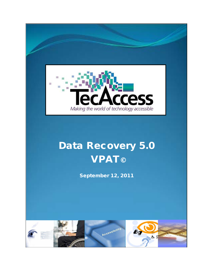

# Data Recovery 5.0 **VPAT©**

September 12, 2011

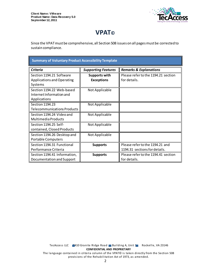

# **VPAT©**

Since the VPAT must be comprehensive, all Section 508 issues on all pages must be corrected to sustain compliance.

| <b>Summary of Voluntary Product Accessibility Template</b>            |                                           |                                                                  |
|-----------------------------------------------------------------------|-------------------------------------------|------------------------------------------------------------------|
| <b>Criteria</b>                                                       | <b>Supporting Features</b>                | <b>Remarks &amp; Explanations</b>                                |
| Section 1194.21 Software<br>Applications and Operating<br>Systems     | <b>Supports with</b><br><b>Exceptions</b> | Please refer to the 1194.21 section<br>for details.              |
| Section 1194.22 Web-based<br>Internet Information and<br>Applications | Not Applicable                            |                                                                  |
| Section 1194.23<br><b>Telecommunications Products</b>                 | Not Applicable                            |                                                                  |
| Section 1194.24 Video and<br><b>Multimedia Products</b>               | Not Applicable                            |                                                                  |
| Section 1194.25 Self-<br>contained, Closed Products                   | Not Applicable                            |                                                                  |
| Section 1194.26 Desktop and<br><b>Portable Computers</b>              | Not Applicable                            |                                                                  |
| Section 1194.31 Functional<br>Performance Criteria                    | <b>Supports</b>                           | Please refer to the 1194.21 and<br>1194.31 sections for details. |
| Section 1194.41 Information,<br>Documentation and Support             | <b>Supports</b>                           | Please refer to the 1194.41 section<br>for details.              |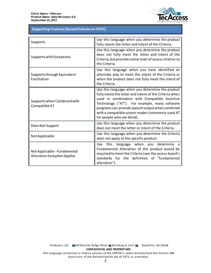

## **Table 1: Supporting Features (Second Column on VPAT) Supporting Features (Second Column on VPAT)**

| Supports                                                            | Use this language when you determine the product<br>fully meets the letter and intent of the Criteria.                                                                                                                                                                                                                                              |
|---------------------------------------------------------------------|-----------------------------------------------------------------------------------------------------------------------------------------------------------------------------------------------------------------------------------------------------------------------------------------------------------------------------------------------------|
| Supports with Exceptions                                            | Use this language when you determine the product<br>does not fully meet the letter and intent of the<br>Criteria, but provides some level of access relative to<br>the Criteria.                                                                                                                                                                    |
| Supports through Equivalent<br>Facilitation                         | Use this language when you have identified an<br>alternate way to meet the intent of the Criteria or<br>when the product does not fully meet the intent of<br>the Criteria.                                                                                                                                                                         |
| Supports when Combined with<br>Compatible AT                        | Use this language when you determine the product<br>fully meets the letter and intent of the Criteria when<br>used in combination with Compatible Assistive<br>Technology ("AT"). For example, many software<br>programs can provide speech output when combined<br>with a compatible screen reader (commonly used AT<br>for people who are blind). |
| Does Not Support                                                    | Use this language when you determine the product<br>does not meet the letter or intent of the Criteria.                                                                                                                                                                                                                                             |
| Not Applicable                                                      | Use this language when you determine the Criteria<br>does not apply to the specific product.                                                                                                                                                                                                                                                        |
| Not Applicable - Fundamental<br><b>Alteration Exception Applies</b> | language when you determine a<br>Use<br>this<br>Fundamental Alteration of the product would be<br>required to meet the Criteria (see the access board's<br>standards for the definition of "fundamental<br>alteration").                                                                                                                            |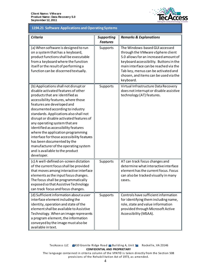

#### **1194.21 Software Applications and Operating Systems 1194.21 Software Applications and Operating Systems**

| <b>Criteria</b>                                                                                                                                                                                                                                                                                                                                                                                                                                                                                                                                                                                   | <b>Supporting</b><br><b>Features</b> | <b>Remarks &amp; Explanations</b>                                                                                                                                                                                                                                                            |
|---------------------------------------------------------------------------------------------------------------------------------------------------------------------------------------------------------------------------------------------------------------------------------------------------------------------------------------------------------------------------------------------------------------------------------------------------------------------------------------------------------------------------------------------------------------------------------------------------|--------------------------------------|----------------------------------------------------------------------------------------------------------------------------------------------------------------------------------------------------------------------------------------------------------------------------------------------|
| (a) When software is designed to run<br>on a system that has a keyboard,<br>product functions shall be executable<br>from a keyboard where the function<br>itself or the result of performing a<br>function can be discerned textually.                                                                                                                                                                                                                                                                                                                                                           | Supports                             | The Windows-based GUI accessed<br>through the VMware vSphere client<br>5.0 allows for an increased amount of<br>keyboard accessibility. Buttons in the<br>main interface can be reached via the<br>Tab key, menus can be activated and<br>chosen, and items can be used via the<br>keyboard. |
| (b) Applications shall not disrupt or<br>disable activated features of other<br>products that are identified as<br>accessibility features, where those<br>features are developed and<br>documented according to industry<br>standards. Applications also shall not<br>disrupt or disable activated features of<br>any operating system that are<br>identified as accessibility features<br>where the application programming<br>interface for those accessibility features<br>has been documented by the<br>manufacturer of the operating system<br>and is available to the product<br>developer. | Supports                             | Virtual Infrastructure Data Recovery<br>does not interrupt or disable assistive<br>technology (AT) features.                                                                                                                                                                                 |
| (c) A well-defined on-screen dictation<br>of the current focus shall be provided<br>that moves among interactive interface<br>elements as the input focus changes.<br>The focus shall be programmatically<br>exposed so that Assistive Technology<br>can track focus and focus changes.                                                                                                                                                                                                                                                                                                           | Supports                             | AT can track focus changes and<br>determine what interactive interface<br>element has the current focus. Focus<br>can also be tracked visually in many<br>cases.                                                                                                                             |
| (d) Sufficient information about a user<br>interface element including the<br>identity, operation and state of the<br>element shall be available to Assistive<br>Technology. When an image represents<br>a program element, the information<br>conveyed by the image must also be<br>available in text.                                                                                                                                                                                                                                                                                           | Supports                             | Controls have sufficient information<br>for identifying them including name,<br>role, state and value information<br>provided through Microsoft Active<br>Accessibility (MSAA).                                                                                                              |

The language contained in criteria column of the VPAT© is taken directly from the Section 508 provisions of the Rehabilitation Act of 1973, as amended.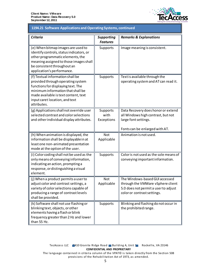

#### **1194.21 Software Applications and Operating Systems, continued 1194.21 Software Applications and Operating Systems, continued**

| <b>Criteria</b>                                                                                                                                                                                                                           | <b>Supporting</b><br><b>Features</b> | <b>Remarks &amp; Explanations</b>                                                                                                          |
|-------------------------------------------------------------------------------------------------------------------------------------------------------------------------------------------------------------------------------------------|--------------------------------------|--------------------------------------------------------------------------------------------------------------------------------------------|
| (e) When bitmap images are used to<br>identify controls, status indicators, or<br>other programmatic elements, the<br>meaning assigned to those images shall<br>be consistent throughout an<br>application's performance.                 | Supports                             | Image meaning is consistent.                                                                                                               |
| (f) Textual information shall be<br>provided through operating system<br>functions for displaying text. The<br>minimum information that shall be<br>made available is text content, text<br>input caret location, and text<br>attributes. | Supports                             | Text is available through the<br>operating system and AT can read it.                                                                      |
| (g) Applications shall not override user<br>selected contrast and color selections<br>and other individual display attributes.                                                                                                            | Supports<br>with<br>Exceptions       | Data Recovery does honor or extend<br>all Windows high contrast, but not<br>large font settings.<br>Fonts can be enlarged with AT.         |
| (h) When animation is displayed, the<br>information shall be displayable in at<br>least one non-animated presentation<br>mode at the option of the user.                                                                                  | <b>Not</b><br>Applicable             | Animation is not used.                                                                                                                     |
| (i) Color coding shall not be used as the<br>only means of conveying information,<br>indicating an action, prompting a<br>response, or distinguishing a visual<br>element.                                                                | Supports                             | Color is not used as the sole means of<br>conveying important information.                                                                 |
| (j) When a product permits a user to<br>adjust color and contrast settings, a<br>variety of color selections capable of<br>producing a range of contrast levels<br>shall be provided.                                                     | <b>Not</b><br>Applicable             | The Windows-based GUI accessed<br>through the VMWare vSphere client<br>5.0 does not permit a user to adjust<br>color or contrast settings. |
| (k) Software shall not use flashing or<br>blinking text, objects, or other<br>elements having a flash or blink<br>frequency greater than 2 Hz and lower<br>than 55 Hz.                                                                    | Supports                             | Blinking and flashing do not occur in<br>the prohibited range.                                                                             |

TecAccess LLC 2410 Granite Ridge Road Building A, Unit 1 Rockville, VA 23146 **CONFIDENTIAL AND PROPRIETARY**

The language contained in criteria column of the VPAT© is taken directly from the Section 508 provisions of the Rehabilitation Act of 1973, as amended.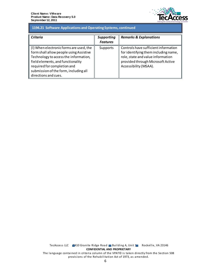

#### **1194.21 Software Applications and Operating Systems, continued 1194.21 Software Applications and Operating Systems, continued**

| Criteria                                                                                                                                                                                                                                                         | <b>Supporting</b><br><b>Features</b> | <b>Remarks &amp; Explanations</b>                                                                                                                                               |
|------------------------------------------------------------------------------------------------------------------------------------------------------------------------------------------------------------------------------------------------------------------|--------------------------------------|---------------------------------------------------------------------------------------------------------------------------------------------------------------------------------|
| (I) When electronic forms are used, the<br>form shall allow people using Assistive<br>Technology to access the information,<br>field elements, and functionality<br>required for completion and<br>submission of the form, including all<br>directions and cues. | Supports                             | Controls have sufficient information<br>for identifying them including name,<br>role, state and value information<br>provided through Microsoft Active<br>Accessibility (MSAA). |

TecAccess LLC 2410 Granite Ridge Road Building A, Unit 1 Rockville, VA 23146 **CONFIDENTIAL AND PROPRIETARY** The language contained in criteria column of the VPAT© is taken directly from the Section 508 provisions of the Rehabilitation Act of 1973, as amended.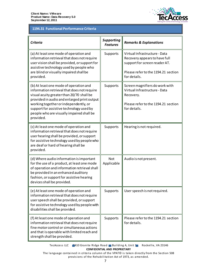

## **Table 2: 1194.31 Functional Performance Criteria 1194.31 Functional Performance Criteria**

| <b>Criteria</b>                                                                                                                                                                                                                                                                                                                  | <b>Supporting</b><br><b>Features</b> | <b>Remarks &amp; Explanations</b>                                                                                                                      |
|----------------------------------------------------------------------------------------------------------------------------------------------------------------------------------------------------------------------------------------------------------------------------------------------------------------------------------|--------------------------------------|--------------------------------------------------------------------------------------------------------------------------------------------------------|
| (a) At least one mode of operation and<br>information retrieval that does not require<br>user vision shall be provided, or support for<br>assistive technology used by people who<br>are blind or visually impaired shall be<br>provided.                                                                                        | Supports                             | Virtual Infrastructure - Data<br>Recovery appears to have full<br>support for screen reader AT.<br>Please refer to the 1194.21 section<br>for details. |
| (b) At least one mode of operation and<br>information retrieval that does not require<br>visual acuity greater than 20/70 shall be<br>provided in audio and enlarged print output<br>working together or independently, or<br>support for assistive technology used by<br>people who are visually impaired shall be<br>provided. | Supports                             | Screen magnifiers do work with<br>Virtual Infrastructure - Data<br>Recovery.<br>Please refer to the 1194.21 section<br>for details.                    |
| (c) At least one mode of operation and<br>information retrieval that does not require<br>user hearing shall be provided, or support<br>for assistive technology used by people who<br>are deaf or hard of hearing shall be<br>provided.                                                                                          | Supports                             | Hearing is not required.                                                                                                                               |
| (d) Where audio information is important<br>for the use of a product, at least one mode<br>of operation and information retrieval shall<br>be provided in an enhanced auditory<br>fashion, or support for assistive hearing<br>devices shall be provided.                                                                        | <b>Not</b><br>Applicable             | Audio is not present.                                                                                                                                  |
| (e) At least one mode of operation and<br>information retrieval that does not require<br>user speech shall be provided, or support<br>for assistive technology used by people with<br>disabilities shall be provided.                                                                                                            | Supports                             | User speech is not required.                                                                                                                           |
| (f) At least one mode of operation and<br>information retrieval that does not require<br>fine motor control or simultaneous actions<br>and that is operable with limited reach and<br>strength shall be provided.                                                                                                                | Supports                             | Please refer to the 1194.21 section<br>for details.                                                                                                    |

TecAccess LLC 2410 Granite Ridge Road Building A, Unit 1 Rockville, VA 23146 **CONFIDENTIAL AND PROPRIETARY**

The language contained in criteria column of the VPAT© is taken directly from the Section 508 provisions of the Rehabilitation Act of 1973, as amended.